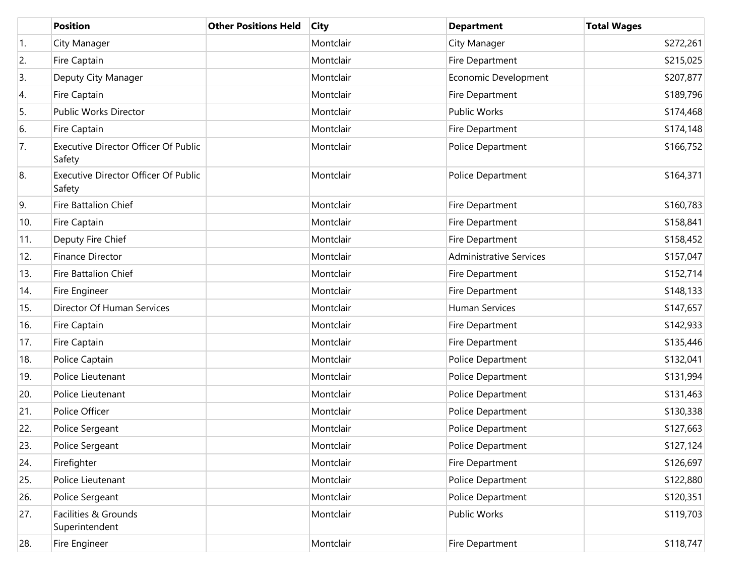|     | <b>Position</b>                                       | <b>Other Positions Held</b> | <b>City</b> | <b>Department</b>              | <b>Total Wages</b> |
|-----|-------------------------------------------------------|-----------------------------|-------------|--------------------------------|--------------------|
| 1.  | City Manager                                          |                             | Montclair   | City Manager                   | \$272,261          |
| 2.  | Fire Captain                                          |                             | Montclair   | Fire Department                | \$215,025          |
| 3.  | Deputy City Manager                                   |                             | Montclair   | Economic Development           | \$207,877          |
| 4.  | Fire Captain                                          |                             | Montclair   | Fire Department                | \$189,796          |
| 5.  | Public Works Director                                 |                             | Montclair   | <b>Public Works</b>            | \$174,468          |
| 6.  | Fire Captain                                          |                             | Montclair   | Fire Department                | \$174,148          |
| 7.  | <b>Executive Director Officer Of Public</b><br>Safety |                             | Montclair   | Police Department              | \$166,752          |
| 8.  | Executive Director Officer Of Public<br>Safety        |                             | Montclair   | Police Department              | \$164,371          |
| 9.  | Fire Battalion Chief                                  |                             | Montclair   | Fire Department                | \$160,783          |
| 10. | Fire Captain                                          |                             | Montclair   | Fire Department                | \$158,841          |
| 11. | Deputy Fire Chief                                     |                             | Montclair   | Fire Department                | \$158,452          |
| 12. | <b>Finance Director</b>                               |                             | Montclair   | <b>Administrative Services</b> | \$157,047          |
| 13. | <b>Fire Battalion Chief</b>                           |                             | Montclair   | Fire Department                | \$152,714          |
| 14. | Fire Engineer                                         |                             | Montclair   | Fire Department                | \$148,133          |
| 15. | Director Of Human Services                            |                             | Montclair   | <b>Human Services</b>          | \$147,657          |
| 16. | Fire Captain                                          |                             | Montclair   | Fire Department                | \$142,933          |
| 17. | Fire Captain                                          |                             | Montclair   | Fire Department                | \$135,446          |
| 18. | Police Captain                                        |                             | Montclair   | Police Department              | \$132,041          |
| 19. | Police Lieutenant                                     |                             | Montclair   | Police Department              | \$131,994          |
| 20. | Police Lieutenant                                     |                             | Montclair   | Police Department              | \$131,463          |
| 21. | Police Officer                                        |                             | Montclair   | Police Department              | \$130,338          |
| 22. | Police Sergeant                                       |                             | Montclair   | Police Department              | \$127,663          |
| 23. | Police Sergeant                                       |                             | Montclair   | Police Department              | \$127,124          |
| 24. | Firefighter                                           |                             | Montclair   | Fire Department                | \$126,697          |
| 25. | Police Lieutenant                                     |                             | Montclair   | Police Department              | \$122,880          |
| 26. | Police Sergeant                                       |                             | Montclair   | Police Department              | \$120,351          |
| 27. | Facilities & Grounds<br>Superintendent                |                             | Montclair   | Public Works                   | \$119,703          |
| 28. | Fire Engineer                                         |                             | Montclair   | Fire Department                | \$118,747          |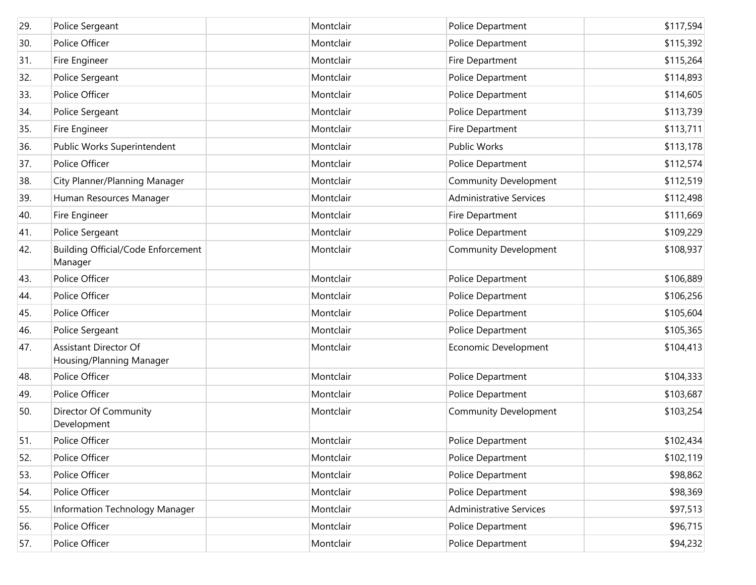| 29. | Police Sergeant                                          | Montclair | Police Department              | \$117,594 |
|-----|----------------------------------------------------------|-----------|--------------------------------|-----------|
| 30. | Police Officer                                           | Montclair | Police Department              | \$115,392 |
| 31. | Fire Engineer                                            | Montclair | Fire Department                | \$115,264 |
| 32. | Police Sergeant                                          | Montclair | Police Department              | \$114,893 |
| 33. | Police Officer                                           | Montclair | Police Department              | \$114,605 |
| 34. | Police Sergeant                                          | Montclair | Police Department              | \$113,739 |
| 35. | Fire Engineer                                            | Montclair | Fire Department                | \$113,711 |
| 36. | Public Works Superintendent                              | Montclair | <b>Public Works</b>            | \$113,178 |
| 37. | Police Officer                                           | Montclair | Police Department              | \$112,574 |
| 38. | City Planner/Planning Manager                            | Montclair | <b>Community Development</b>   | \$112,519 |
| 39. | Human Resources Manager                                  | Montclair | <b>Administrative Services</b> | \$112,498 |
| 40. | Fire Engineer                                            | Montclair | Fire Department                | \$111,669 |
| 41. | Police Sergeant                                          | Montclair | Police Department              | \$109,229 |
| 42. | <b>Building Official/Code Enforcement</b><br>Manager     | Montclair | <b>Community Development</b>   | \$108,937 |
| 43. | Police Officer                                           | Montclair | Police Department              | \$106,889 |
| 44. | Police Officer                                           | Montclair | Police Department              | \$106,256 |
| 45. | Police Officer                                           | Montclair | Police Department              | \$105,604 |
| 46. | Police Sergeant                                          | Montclair | Police Department              | \$105,365 |
| 47. | <b>Assistant Director Of</b><br>Housing/Planning Manager | Montclair | Economic Development           | \$104,413 |
| 48. | Police Officer                                           | Montclair | Police Department              | \$104,333 |
| 49. | Police Officer                                           | Montclair | Police Department              | \$103,687 |
| 50. | Director Of Community<br>Development                     | Montclair | <b>Community Development</b>   | \$103,254 |
| 51. | Police Officer                                           | Montclair | Police Department              | \$102,434 |
| 52. | Police Officer                                           | Montclair | Police Department              | \$102,119 |
| 53. | Police Officer                                           | Montclair | Police Department              | \$98,862  |
| 54. | Police Officer                                           | Montclair | Police Department              | \$98,369  |
| 55. | Information Technology Manager                           | Montclair | <b>Administrative Services</b> | \$97,513  |
| 56. | Police Officer                                           | Montclair | Police Department              | \$96,715  |
| 57. | Police Officer                                           | Montclair | Police Department              | \$94,232  |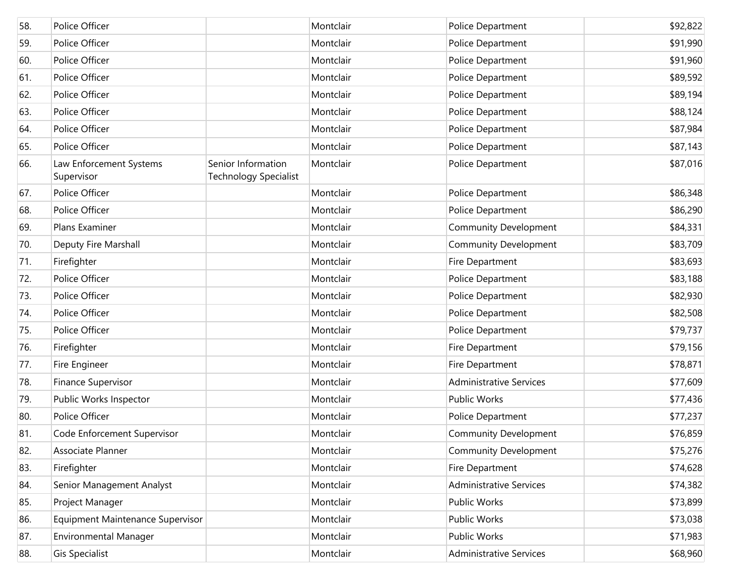| 58. | Police Officer                        |                                                    | Montclair | Police Department              | \$92,822 |
|-----|---------------------------------------|----------------------------------------------------|-----------|--------------------------------|----------|
| 59. | Police Officer                        |                                                    | Montclair | Police Department              | \$91,990 |
| 60. | Police Officer                        |                                                    | Montclair | Police Department              | \$91,960 |
| 61. | Police Officer                        |                                                    | Montclair | Police Department              | \$89,592 |
| 62. | Police Officer                        |                                                    | Montclair | Police Department              | \$89,194 |
| 63. | Police Officer                        |                                                    | Montclair | Police Department              | \$88,124 |
| 64. | Police Officer                        |                                                    | Montclair | Police Department              | \$87,984 |
| 65. | Police Officer                        |                                                    | Montclair | Police Department              | \$87,143 |
| 66. | Law Enforcement Systems<br>Supervisor | Senior Information<br><b>Technology Specialist</b> | Montclair | Police Department              | \$87,016 |
| 67. | Police Officer                        |                                                    | Montclair | Police Department              | \$86,348 |
| 68. | Police Officer                        |                                                    | Montclair | Police Department              | \$86,290 |
| 69. | Plans Examiner                        |                                                    | Montclair | <b>Community Development</b>   | \$84,331 |
| 70. | Deputy Fire Marshall                  |                                                    | Montclair | <b>Community Development</b>   | \$83,709 |
| 71. | Firefighter                           |                                                    | Montclair | Fire Department                | \$83,693 |
| 72. | Police Officer                        |                                                    | Montclair | Police Department              | \$83,188 |
| 73. | Police Officer                        |                                                    | Montclair | Police Department              | \$82,930 |
| 74. | Police Officer                        |                                                    | Montclair | Police Department              | \$82,508 |
| 75. | Police Officer                        |                                                    | Montclair | Police Department              | \$79,737 |
| 76. | Firefighter                           |                                                    | Montclair | Fire Department                | \$79,156 |
| 77. | Fire Engineer                         |                                                    | Montclair | Fire Department                | \$78,871 |
| 78. | <b>Finance Supervisor</b>             |                                                    | Montclair | <b>Administrative Services</b> | \$77,609 |
| 79. | Public Works Inspector                |                                                    | Montclair | Public Works                   | \$77,436 |
| 80. | Police Officer                        |                                                    | Montclair | Police Department              | \$77,237 |
| 81. | Code Enforcement Supervisor           |                                                    | Montclair | <b>Community Development</b>   | \$76,859 |
| 82. | Associate Planner                     |                                                    | Montclair | <b>Community Development</b>   | \$75,276 |
| 83. | Firefighter                           |                                                    | Montclair | Fire Department                | \$74,628 |
| 84. | Senior Management Analyst             |                                                    | Montclair | <b>Administrative Services</b> | \$74,382 |
| 85. | Project Manager                       |                                                    | Montclair | Public Works                   | \$73,899 |
| 86. | Equipment Maintenance Supervisor      |                                                    | Montclair | Public Works                   | \$73,038 |
| 87. | <b>Environmental Manager</b>          |                                                    | Montclair | Public Works                   | \$71,983 |
| 88. | <b>Gis Specialist</b>                 |                                                    | Montclair | <b>Administrative Services</b> | \$68,960 |